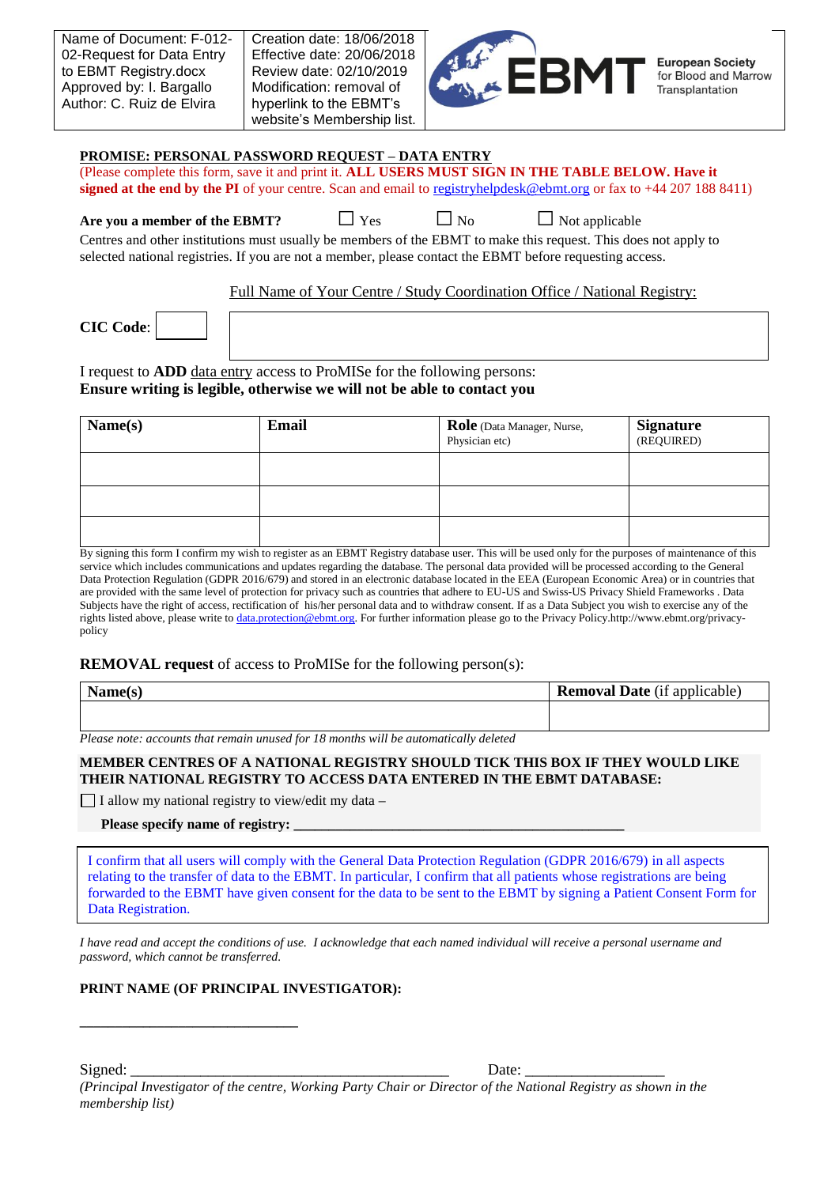| Name of Document: F-012-  |
|---------------------------|
| 02-Request for Data Entry |
| to EBMT Registry.docx     |
| Approved by: I. Bargallo  |
| Author: C. Ruiz de Elvira |
|                           |



#### **PROMISE: PERSONAL PASSWORD REQUEST – DATA ENTRY**

(Please complete this form, save it and print it. **ALL USERS MUST SIGN IN THE TABLE BELOW. Have it signed at the end by the PI** of your centre. Scan and email to [registryhelpdesk@ebmt.org](mailto:registryhelpdesk@ebmt.org) or fax to +44 207 188 8411)

**Are you a member of the EBMT?**  $\Box$  Yes  $\Box$  No  $\Box$  Not applicable

Centres and other institutions must usually be members of the EBMT to make this request. This does not apply to selected national registries. If you are not a member, please contact the EBMT before requesting access.

Full Name of Your Centre / Study Coordination Office / National Registry:

**CIC Code**:

I request to **ADD** data entry access to ProMISe for the following persons: **Ensure writing is legible, otherwise we will not be able to contact you**

| Name(s) | <b>Email</b> | Role (Data Manager, Nurse,<br>Physician etc) | <b>Signature</b><br>(REQUIRED) |
|---------|--------------|----------------------------------------------|--------------------------------|
|         |              |                                              |                                |
|         |              |                                              |                                |
|         |              |                                              |                                |

By signing this form I confirm my wish to register as an EBMT Registry database user. This will be used only for the purposes of maintenance of this service which includes communications and updates regarding the database. The personal data provided will be processed according to the General Data Protection Regulation (GDPR 2016/679) and stored in an electronic database located in the EEA (European Economic Area) or in countries that are provided with the same level of protection for privacy such as countries that adhere to EU-US and Swiss-US Privacy Shield Frameworks . Data Subjects have the right of access, rectification of his/her personal data and to withdraw consent. If as a Data Subject you wish to exercise any of the rights listed above, please write to [data.protection@ebmt.org.](mailto:data.protection@ebmt.org) For further information please go to the [Privacy Policy.h](http://ebmt.org/privacy-policy)ttp://www.ebmt.org/privacypolicy

# **REMOVAL request** of access to ProMISe for the following person(s):

| $N_{\alpha m\alpha}$<br>$\text{L}$ and $\text{C}(S)$ | <b>Removal Date</b> (if applicable) |
|------------------------------------------------------|-------------------------------------|
|                                                      |                                     |

*Please note: accounts that remain unused for 18 months will be automatically deleted*

## **MEMBER CENTRES OF A NATIONAL REGISTRY SHOULD TICK THIS BOX IF THEY WOULD LIKE THEIR NATIONAL REGISTRY TO ACCESS DATA ENTERED IN THE EBMT DATABASE:**

I allow my national registry to view/edit my data **–**

#### **Please specify name of registry:**

**\_\_\_\_\_\_\_\_\_\_\_\_\_\_\_\_\_\_\_\_\_\_\_\_\_\_\_\_\_\_\_** 

I confirm that all users will comply with the General Data Protection Regulation (GDPR 2016/679) in all aspects relating to the transfer of data to the EBMT. In particular, I confirm that all patients whose registrations are being forwarded to the EBMT have given consent for the data to be sent to the EBMT by signing a Patient Consent Form for Data Registration.

*I have read and accept the conditions of use. I acknowledge that each named individual will receive a personal username and password, which cannot be transferred.*

# **PRINT NAME (OF PRINCIPAL INVESTIGATOR):**

*(Principal Investigator of the centre, Working Party Chair or Director of the National Registry as shown in the membership list)*